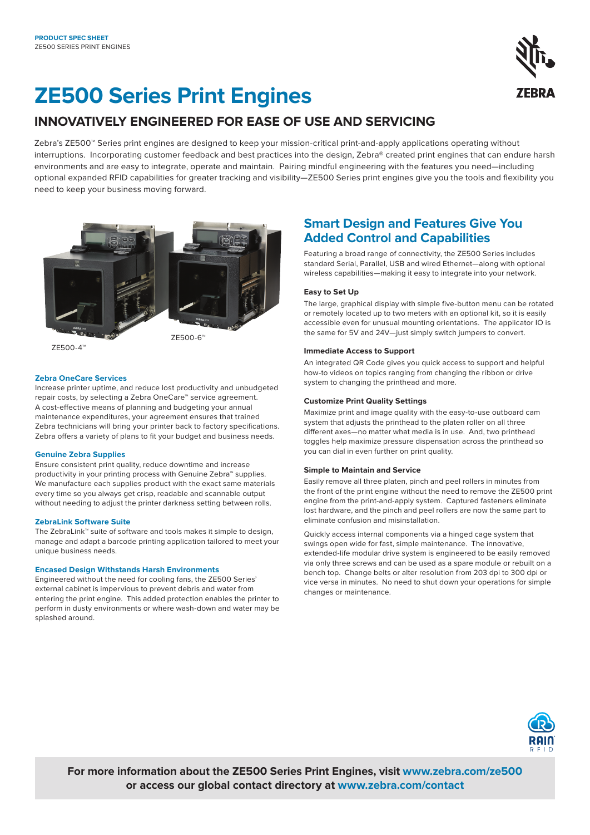

# **ZE500 Series Print Engines**

### **INNOVATIVELY ENGINEERED FOR EASE OF USE AND SERVICING**

Zebra's ZE500™ Series print engines are designed to keep your mission-critical print-and-apply applications operating without interruptions. Incorporating customer feedback and best practices into the design, Zebra® created print engines that can endure harsh environments and are easy to integrate, operate and maintain. Pairing mindful engineering with the features you need—including optional expanded RFID capabilities for greater tracking and visibility—ZE500 Series print engines give you the tools and flexibility you need to keep your business moving forward.



ZE500-4™

### ZE500-6™

### **Zebra OneCare Services**

Increase printer uptime, and reduce lost productivity and unbudgeted repair costs, by selecting a Zebra OneCare™ service agreement. A cost-effective means of planning and budgeting your annual maintenance expenditures, your agreement ensures that trained Zebra technicians will bring your printer back to factory specifications. Zebra offers a variety of plans to fit your budget and business needs.

### **Genuine Zebra Supplies**

Ensure consistent print quality, reduce downtime and increase productivity in your printing process with Genuine Zebra™ supplies. We manufacture each supplies product with the exact same materials every time so you always get crisp, readable and scannable output without needing to adjust the printer darkness setting between rolls.

### **ZebraLink Software Suite**

The ZebraLink™ suite of software and tools makes it simple to design, manage and adapt a barcode printing application tailored to meet your unique business needs.

### **Encased Design Withstands Harsh Environments**

Engineered without the need for cooling fans, the ZE500 Series' external cabinet is impervious to prevent debris and water from entering the print engine. This added protection enables the printer to perform in dusty environments or where wash-down and water may be splashed around.

### **Smart Design and Features Give You Added Control and Capabilities**

Featuring a broad range of connectivity, the ZE500 Series includes standard Serial, Parallel, USB and wired Ethernet—along with optional wireless capabilities—making it easy to integrate into your network.

### **Easy to Set Up**

The large, graphical display with simple five-button menu can be rotated or remotely located up to two meters with an optional kit, so it is easily accessible even for unusual mounting orientations. The applicator IO is the same for 5V and 24V—just simply switch jumpers to convert.

### **Immediate Access to Support**

An integrated QR Code gives you quick access to support and helpful how-to videos on topics ranging from changing the ribbon or drive system to changing the printhead and more.

### **Customize Print Quality Settings**

Maximize print and image quality with the easy-to-use outboard cam system that adjusts the printhead to the platen roller on all three different axes—no matter what media is in use. And, two printhead toggles help maximize pressure dispensation across the printhead so you can dial in even further on print quality.

### **Simple to Maintain and Service**

Easily remove all three platen, pinch and peel rollers in minutes from the front of the print engine without the need to remove the ZE500 print engine from the print-and-apply system. Captured fasteners eliminate lost hardware, and the pinch and peel rollers are now the same part to eliminate confusion and misinstallation.

Quickly access internal components via a hinged cage system that swings open wide for fast, simple maintenance. The innovative, extended-life modular drive system is engineered to be easily removed via only three screws and can be used as a spare module or rebuilt on a bench top. Change belts or alter resolution from 203 dpi to 300 dpi or vice versa in minutes. No need to shut down your operations for simple changes or maintenance.



**For more information about the ZE500 Series Print Engines, visit [www.zebra.com/](https://www.zebra.com/us/en/products/printers/print-engines/ze500.html)ze500 or access our global contact directory at [www.zebra.com/contact](https://www.zebra.com/us/en/about-zebra/contact-us/contact-zebra.html)**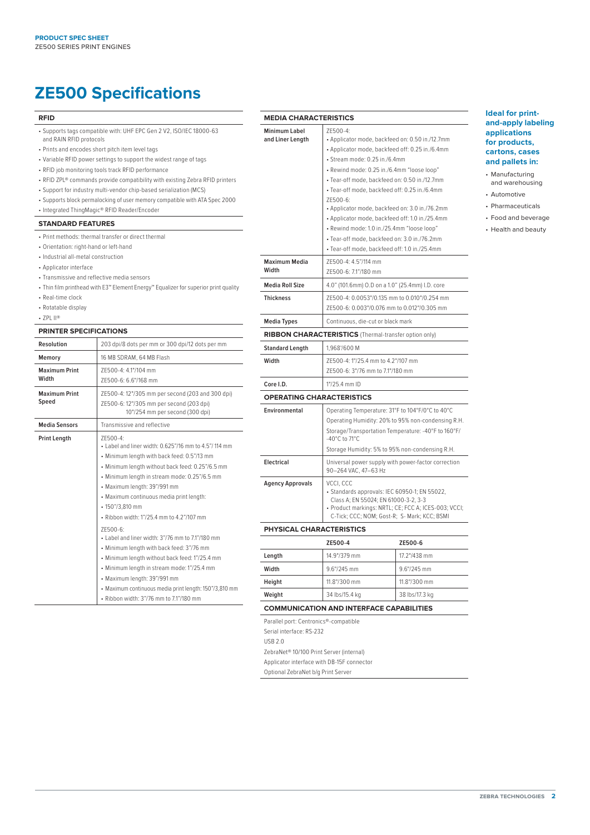## **ZE500 Specifications**

#### **RFID**

- Supports tags compatible with: UHF EPC Gen 2 V2, ISO/IEC 18000-63 and RAIN RFID protocols
- Prints and encodes short pitch item level tags
- Variable RFID power settings to support the widest range of tags
- RFID job monitoring tools track RFID performance
- RFID ZPL® commands provide compatibility with existing Zebra RFID printers
- Support for industry multi-vendor chip-based serialization (MCS)
- Supports block permalocking of user memory compatible with ATA Spec 2000
- Integrated ThingMagic® RFID Reader/Encoder

### **STANDARD FEATURES**

- Print methods: thermal transfer or direct thermal
- Orientation: right-hand or left-hand
- Industrial all-metal construction
- Applicator interface
- Transmissive and reflective media sensors
- Thin film printhead with E3™ Element Energy™ Equalizer for superior print quality
- Real-time clock
- Rotatable display
- ZPL II®

### **PRINTER SPECIFICATIONS**

| Resolution                    | 203 dpi/8 dots per mm or 300 dpi/12 dots per mm                                                                                                                                                                                                                                                                                                                                                                                                                                                                                                                                                                                                                                                                     |  |
|-------------------------------|---------------------------------------------------------------------------------------------------------------------------------------------------------------------------------------------------------------------------------------------------------------------------------------------------------------------------------------------------------------------------------------------------------------------------------------------------------------------------------------------------------------------------------------------------------------------------------------------------------------------------------------------------------------------------------------------------------------------|--|
| Memory                        | 16 MB SDRAM, 64 MB Flash                                                                                                                                                                                                                                                                                                                                                                                                                                                                                                                                                                                                                                                                                            |  |
| <b>Maximum Print</b><br>Width | 7F500-4: 4.1"/104 mm<br>7F500-6: 6.6"/168 mm                                                                                                                                                                                                                                                                                                                                                                                                                                                                                                                                                                                                                                                                        |  |
| <b>Maximum Print</b><br>Speed | ZE500-4: 12"/305 mm per second (203 and 300 dpi)<br>ZE500-6: 12"/305 mm per second (203 dpi)<br>10"/254 mm per second (300 dpi)                                                                                                                                                                                                                                                                                                                                                                                                                                                                                                                                                                                     |  |
| <b>Media Sensors</b>          | Transmissive and reflective                                                                                                                                                                                                                                                                                                                                                                                                                                                                                                                                                                                                                                                                                         |  |
| <b>Print Length</b>           | 7F500-4:<br>• Label and liner width: 0.625"/16 mm to 4.5"/114 mm<br>• Minimum length with back feed: 0.5"/13 mm<br>• Minimum length without back feed: 0.25"/6.5 mm<br>• Minimum length in stream mode: 0.25"/6.5 mm<br>• Maximum length: 39"/991 mm<br>• Maximum continuous media print length:<br>• 150"/3,810 mm<br>· Ribbon width: 1"/25.4 mm to 4.2"/107 mm<br>7F500-6:<br>• Label and liner width: 3"/76 mm to 7.1"/180 mm<br>• Minimum length with back feed: 3"/76 mm<br>• Minimum length without back feed: 1"/25.4 mm<br>• Minimum length in stream mode: 1"/25.4 mm<br>• Maximum length: 39"/991 mm<br>• Maximum continuous media print length: 150"/3,810 mm<br>• Ribbon width: 3"/76 mm to 7.1"/180 mm |  |

| Minimum Label<br>and Liner Length                                                                                                           | ZE500-4:<br>• Applicator mode, backfeed on: 0.50 in./12.7mm<br>• Applicator mode, backfeed off: 0.25 in./6.4mm<br>• Stream mode: 0.25 in./6.4mm<br>· Rewind mode: 0.25 in./6.4mm "loose loop"<br>· Tear-off mode, backfeed on: 0.50 in./12.7mm<br>· Tear-off mode, backfeed off: 0.25 in./6.4mm<br>7F500-6:<br>• Applicator mode, backfeed on: 3.0 in./76.2mm<br>• Applicator mode, backfeed off: 1.0 in./25.4mm<br>• Rewind mode: 1.0 in./25.4mm "loose loop"<br>· Tear-off mode, backfeed on: 3.0 in./76.2mm<br>· Tear-off mode, backfeed off: 1.0 in./25.4mm |                |  |
|---------------------------------------------------------------------------------------------------------------------------------------------|-----------------------------------------------------------------------------------------------------------------------------------------------------------------------------------------------------------------------------------------------------------------------------------------------------------------------------------------------------------------------------------------------------------------------------------------------------------------------------------------------------------------------------------------------------------------|----------------|--|
| <b>Maximum Media</b><br>Width                                                                                                               | ZE500-4: 4.5"/114 mm<br>ZE500-6: 7.1"/180 mm                                                                                                                                                                                                                                                                                                                                                                                                                                                                                                                    |                |  |
| <b>Media Roll Size</b>                                                                                                                      | 4.0" (101.6mm) O.D on a 1.0" (25.4mm) I.D. core                                                                                                                                                                                                                                                                                                                                                                                                                                                                                                                 |                |  |
| <b>Thickness</b>                                                                                                                            | ZE500-4: 0.0053"/0.135 mm to 0.010"/0.254 mm<br>ZE500-6: 0.003"/0.076 mm to 0.012"/0.305 mm                                                                                                                                                                                                                                                                                                                                                                                                                                                                     |                |  |
| <b>Media Types</b>                                                                                                                          | Continuous, die-cut or black mark                                                                                                                                                                                                                                                                                                                                                                                                                                                                                                                               |                |  |
|                                                                                                                                             | RIBBON CHARACTERISTICS (Thermal-transfer option only)                                                                                                                                                                                                                                                                                                                                                                                                                                                                                                           |                |  |
| <b>Standard Length</b>                                                                                                                      | 1,968'/600 M                                                                                                                                                                                                                                                                                                                                                                                                                                                                                                                                                    |                |  |
| Width                                                                                                                                       | ZE500-4: 1"/25.4 mm to 4.2"/107 mm<br>7F500-6: 3"/76 mm to 7.1"/180 mm                                                                                                                                                                                                                                                                                                                                                                                                                                                                                          |                |  |
| Core I.D.                                                                                                                                   | 1"/25.4 mm ID                                                                                                                                                                                                                                                                                                                                                                                                                                                                                                                                                   |                |  |
| <b>OPERATING CHARACTERISTICS</b>                                                                                                            |                                                                                                                                                                                                                                                                                                                                                                                                                                                                                                                                                                 |                |  |
| Environmental                                                                                                                               | Operating Temperature: 31°F to 104°F/0°C to 40°C<br>Operating Humidity: 20% to 95% non-condensing R.H.<br>Storage/Transportation Temperature: -40°F to 160°F/<br>-40°C to 71°C<br>Storage Humidity: 5% to 95% non-condensing R.H.                                                                                                                                                                                                                                                                                                                               |                |  |
| <b>Electrical</b>                                                                                                                           | Universal power supply with power-factor correction<br>90-264 VAC, 47-63 Hz                                                                                                                                                                                                                                                                                                                                                                                                                                                                                     |                |  |
| <b>Agency Approvals</b>                                                                                                                     | VCCI, CCC<br>• Standards approvals: IEC 60950-1; EN 55022,<br>Class A; EN 55024; EN 61000-3-2, 3-3<br>· Product markings: NRTL; CE; FCC A; ICES-003; VCCI;<br>C-Tick; CCC; NOM; Gost-R; S- Mark; KCC; BSMI                                                                                                                                                                                                                                                                                                                                                      |                |  |
| PHYSICAL CHARACTERISTICS                                                                                                                    |                                                                                                                                                                                                                                                                                                                                                                                                                                                                                                                                                                 |                |  |
|                                                                                                                                             | ZE500-4                                                                                                                                                                                                                                                                                                                                                                                                                                                                                                                                                         | ZE500-6        |  |
| Length                                                                                                                                      | 14.9"/379 mm                                                                                                                                                                                                                                                                                                                                                                                                                                                                                                                                                    | 17.2"/438 mm   |  |
| Width                                                                                                                                       | 9.6"/245 mm                                                                                                                                                                                                                                                                                                                                                                                                                                                                                                                                                     | 9.6"/245 mm    |  |
| Height                                                                                                                                      | 11.8"/300 mm                                                                                                                                                                                                                                                                                                                                                                                                                                                                                                                                                    | 11.8"/300 mm   |  |
| Weight                                                                                                                                      | 34 lbs/15.4 kg                                                                                                                                                                                                                                                                                                                                                                                                                                                                                                                                                  | 38 lbs/17.3 kg |  |
|                                                                                                                                             | <b>COMMUNICATION AND INTERFACE CAPABILITIES</b>                                                                                                                                                                                                                                                                                                                                                                                                                                                                                                                 |                |  |
| Parallel port: Centronics®-compatible<br>Serial interface: RS-232<br><b>USB 2.0</b><br>ZebraNet <sup>®</sup> 10/100 Print Server (internal) |                                                                                                                                                                                                                                                                                                                                                                                                                                                                                                                                                                 |                |  |

**MEDIA CHARACTERISTICS**

Applicator interface with DB-15F connector Optional ZebraNet b/g Print Server

### **Ideal for printand-apply labeling applications for products, cartons, cases and pallets in:**

- **Manufacturing** and warehousing
- Automotive
- Pharmaceuticals
- Food and beverage • Health and beauty

**zebra technologies 2**